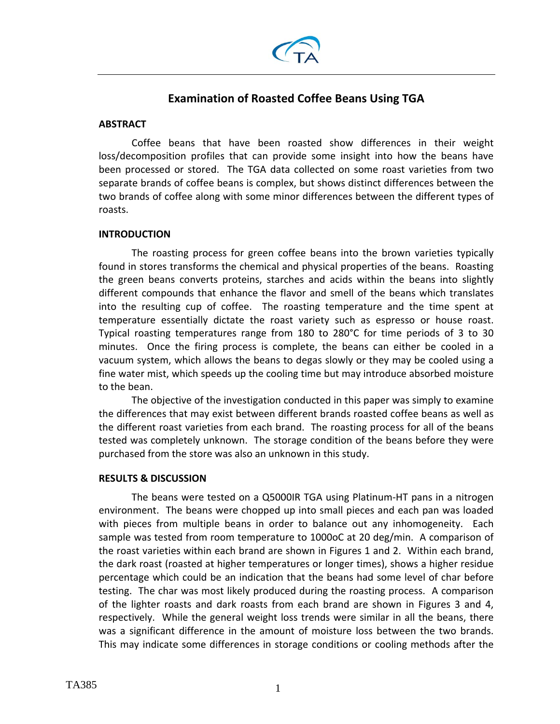

# **Examination of Roasted Coffee Beans Using TGA**

## **ABSTRACT**

Coffee beans that have been roasted show differences in their weight loss/decomposition profiles that can provide some insight into how the beans have been processed or stored. The TGA data collected on some roast varieties from two separate brands of coffee beans is complex, but shows distinct differences between the two brands of coffee along with some minor differences between the different types of roasts.

## **INTRODUCTION**

The roasting process for green coffee beans into the brown varieties typically found in stores transforms the chemical and physical properties of the beans. Roasting the green beans converts proteins, starches and acids within the beans into slightly different compounds that enhance the flavor and smell of the beans which translates into the resulting cup of coffee. The roasting temperature and the time spent at temperature essentially dictate the roast variety such as espresso or house roast. Typical roasting temperatures range from 180 to 280°C for time periods of 3 to 30 minutes. Once the firing process is complete, the beans can either be cooled in a vacuum system, which allows the beans to degas slowly or they may be cooled using a fine water mist, which speeds up the cooling time but may introduce absorbed moisture to the bean.

The objective of the investigation conducted in this paper was simply to examine the differences that may exist between different brands roasted coffee beans as well as the different roast varieties from each brand. The roasting process for all of the beans tested was completely unknown. The storage condition of the beans before they were purchased from the store was also an unknown in this study.

## **RESULTS & DISCUSSION**

The beans were tested on a Q5000IR TGA using Platinum‐HT pans in a nitrogen environment. The beans were chopped up into small pieces and each pan was loaded with pieces from multiple beans in order to balance out any inhomogeneity. Each sample was tested from room temperature to 1000oC at 20 deg/min. A comparison of the roast varieties within each brand are shown in Figures 1 and 2. Within each brand, the dark roast (roasted at higher temperatures or longer times), shows a higher residue percentage which could be an indication that the beans had some level of char before testing. The char was most likely produced during the roasting process. A comparison of the lighter roasts and dark roasts from each brand are shown in Figures 3 and 4, respectively. While the general weight loss trends were similar in all the beans, there was a significant difference in the amount of moisture loss between the two brands. This may indicate some differences in storage conditions or cooling methods after the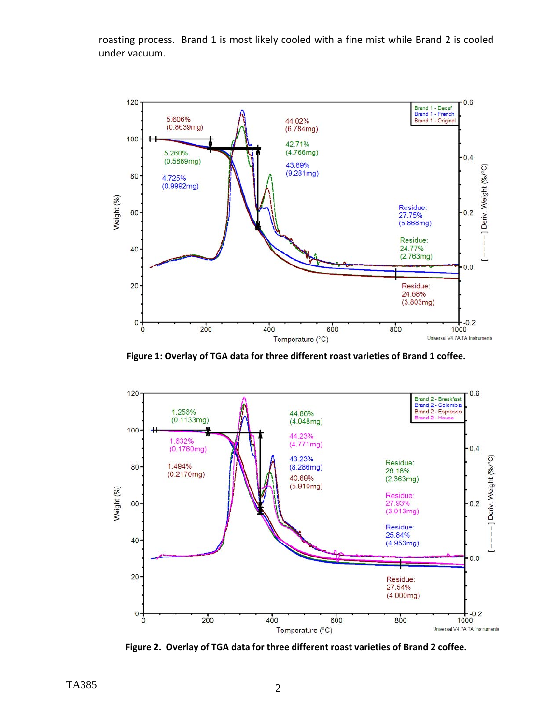roasting process. Brand 1 is most likely cooled with a fine mist while Brand 2 is cooled under vacuum.



**Figure 1: Overlay of TGA data for three different roast varieties of Brand 1 coffee.**



**Figure 2. Overlay of TGA data for three different roast varieties of Brand 2 coffee.**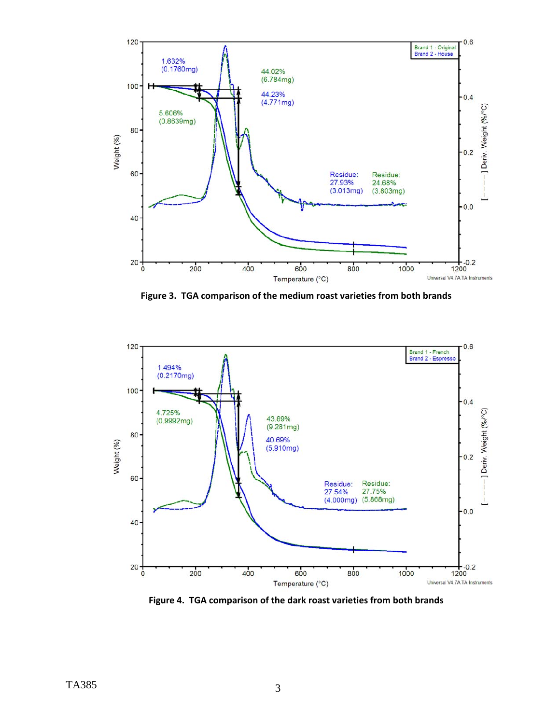

**Figure 3. TGA comparison of the medium roast varieties from both brands**



**Figure 4. TGA comparison of the dark roast varieties from both brands**